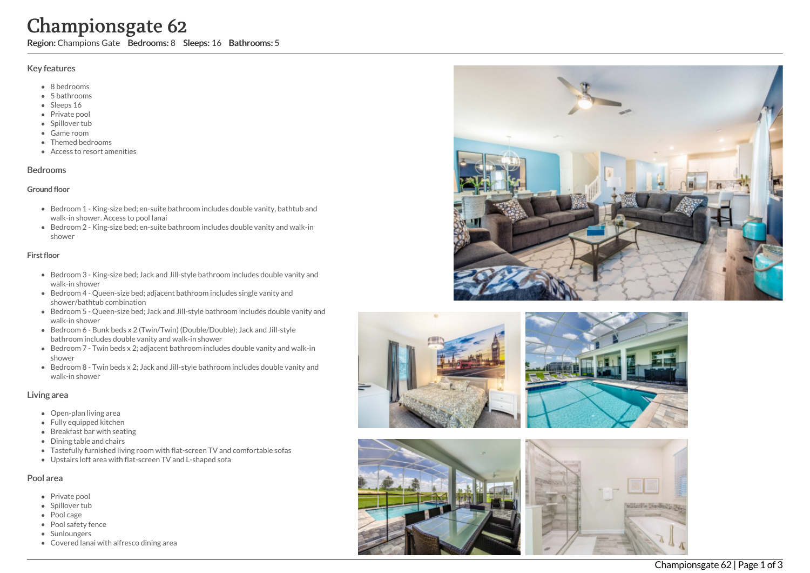# Championsgate 62

Region: Champions Gate Bedrooms: 8 Sleeps: 16 Bathrooms: 5

### Key features

- 8 b e d r o o m s
- 5 b a t h r o o m s
- Sleeps 16
- Private pool
- Spillover tub
- Game room
- Themed bedr o o m s
- Access to resort amenities

# **Bedrooms**

#### Ground floor

- Bedroom 1 King-size bed; en-suite bathroom includes double vanity, bathtub and walk-in shower. Access to pool lanai
- Bedroom 2 King-size bed; en-suite bathroom includes double vanity and walk-in s h o w e r

# Fir s t flo o r

- Bedroom 3 King-size bed; Jack and Jill-style bathroom includes double vanity and walk-in shower
- Bedroom 4 Queen-size bed; adjacent bathroom includes single vanity and shower/bathtub combination
- Bedroom 5 Queen-size bed; Jack and Jill-style bathroom includes double vanity and walk-in shower
- Bedroom 6 Bunk beds x 2 (Twin/Twin) (Double/Double); Jack and Jill-style bathroom includes double vanity and walk-in shower
- Bedroom 7 Twin beds x 2; adjacent bathroom includes double vanity and walk-in s h o w e r
- Bedroom 8 Twin beds x 2; Jack and Jill-style bathroom includes double vanity and walk-in shower

# Living area

- Open-plan living area
- Fully equipped kitchen
- Breakfast bar with seating
- Dining table and chairs
- Tastefully furnished living room with flat-screen TV and comfortable sofas
- Upstairs loft area with flat-screen TV and L-shaped sofa

# Pool area

- Private pool
- Spillover tub
- Pool cage
- Pool safety fence
- **Sunloungers**
- Covered lanai with alfresco dining area









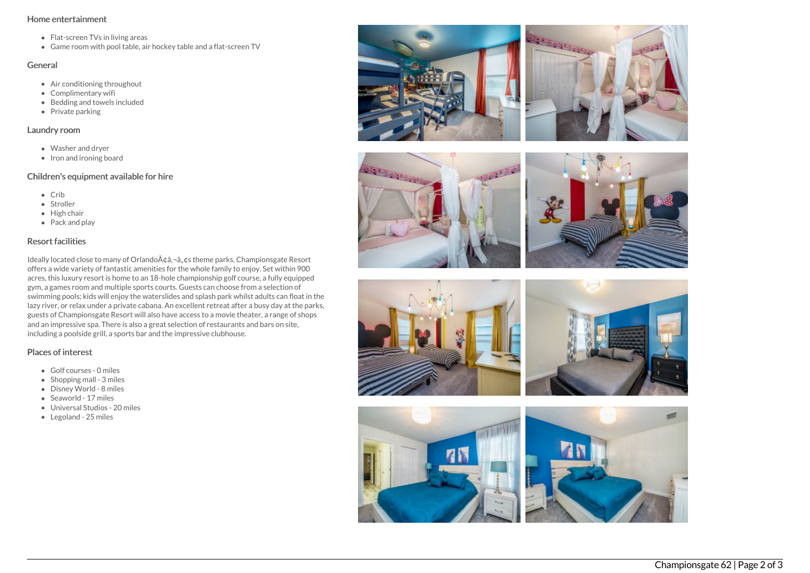#### Home entertainment

- Flat-screen TVs in living areas
- Game room with pool table, air hockey table and a flat-screen TV

#### General

- Air conditioning throughout
- Complimentary wifi
- Bedding and towels included
- Private parking

# Laundry room

- Washer and dryer
- Iron and ironing board

# Children's equipment available for hire

- Crib
- Stroller
- $\bullet$  High chair
- Pack and play

# Resort facilities

Ideally located close to many of Orlando $A\phi$ ;  $\phi$ ,  $\phi$ s theme parks, Championsgate Resort offers a wide variety of fantastic amenities for the whole family to enjoy. Set within 900 acres, this luxury resort is home to an 18-hole championship golf course, a fully equipped gym, a games room and multiple sports courts. Guests can choose from a selection of swimming pools; kids will enjoy the waterslides and splash park whilst adults can float in the lazy river, or relax under a private cabana. An excellent retreat after a busy day at the parks, guests of Championsgate Resort will also have access to a movie theater, a range of shops and an impressive spa. There is also a great selection of restaurants and bars on site, including a poolside grill, a sports bar and the impressive clubhouse.

# Places of interest

- Golf courses 0 miles
- $\bullet$  Shopping mall 3 miles
- Disney World 8 miles
- Seaworld 17 miles
- Universal Studios 20 miles
- Legoland 25 miles